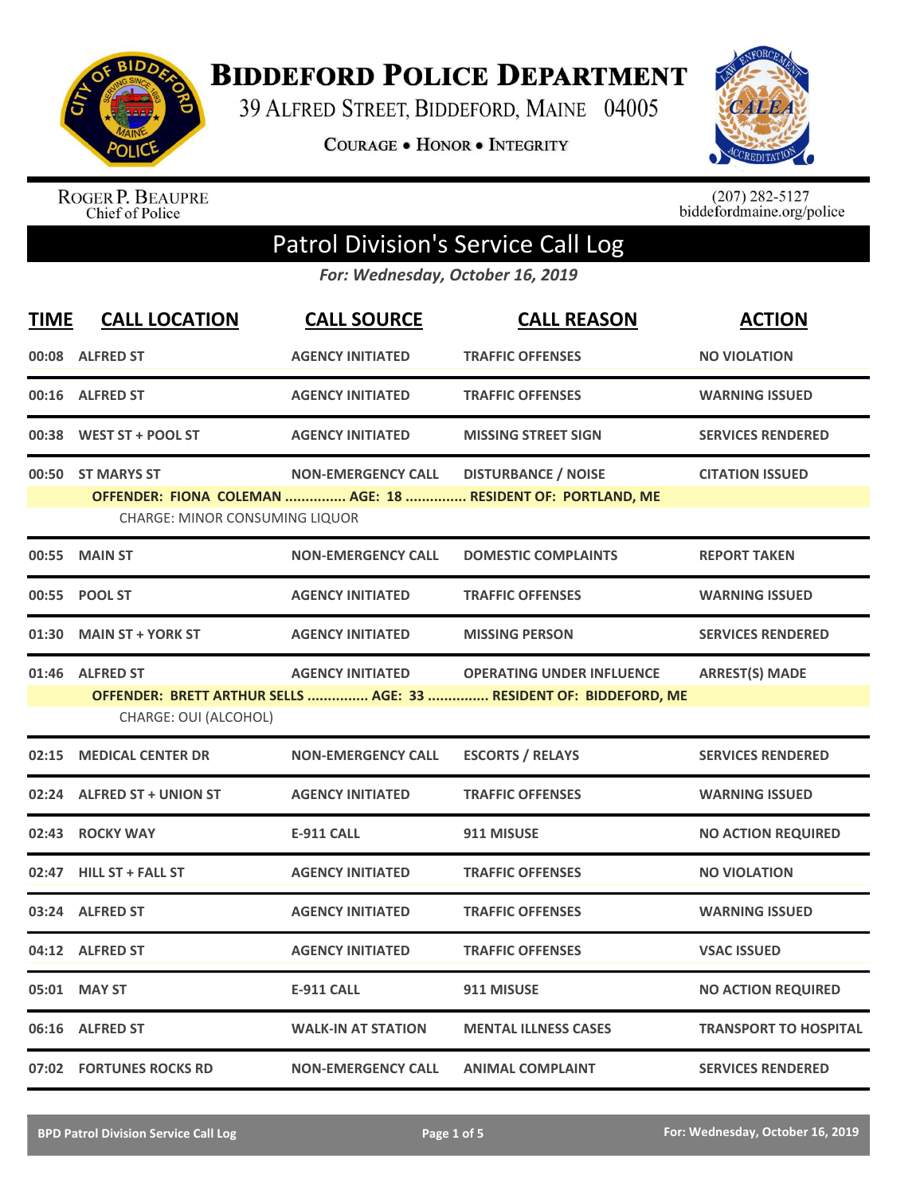

**BIDDEFORD POLICE DEPARTMENT** 

39 ALFRED STREET, BIDDEFORD, MAINE 04005

**COURAGE . HONOR . INTEGRITY** 



ROGER P. BEAUPRE<br>Chief of Police

 $(207)$  282-5127<br>biddefordmaine.org/police

## Patrol Division's Service Call Log

*For: Wednesday, October 16, 2019*

| <b>TIME</b> | <b>CALL LOCATION</b>                  | <b>CALL SOURCE</b>        | <b>CALL REASON</b>                                                | <b>ACTION</b>                |
|-------------|---------------------------------------|---------------------------|-------------------------------------------------------------------|------------------------------|
|             | 00:08 ALFRED ST                       | <b>AGENCY INITIATED</b>   | <b>TRAFFIC OFFENSES</b>                                           | <b>NO VIOLATION</b>          |
|             | 00:16 ALFRED ST                       | <b>AGENCY INITIATED</b>   | <b>TRAFFIC OFFENSES</b>                                           | <b>WARNING ISSUED</b>        |
|             | 00:38 WEST ST + POOL ST               | <b>AGENCY INITIATED</b>   | <b>MISSING STREET SIGN</b>                                        | <b>SERVICES RENDERED</b>     |
|             | 00:50 ST MARYS ST                     | <b>NON-EMERGENCY CALL</b> | <b>DISTURBANCE / NOISE</b>                                        | <b>CITATION ISSUED</b>       |
|             | <b>CHARGE: MINOR CONSUMING LIQUOR</b> |                           | OFFENDER: FIONA COLEMAN  AGE: 18  RESIDENT OF: PORTLAND, ME       |                              |
| 00:55       | <b>MAIN ST</b>                        | <b>NON-EMERGENCY CALL</b> | <b>DOMESTIC COMPLAINTS</b>                                        | <b>REPORT TAKEN</b>          |
| 00:55       | <b>POOL ST</b>                        | <b>AGENCY INITIATED</b>   | <b>TRAFFIC OFFENSES</b>                                           | <b>WARNING ISSUED</b>        |
| 01:30       | <b>MAIN ST + YORK ST</b>              | <b>AGENCY INITIATED</b>   | <b>MISSING PERSON</b>                                             | <b>SERVICES RENDERED</b>     |
|             | 01:46 ALFRED ST                       | <b>AGENCY INITIATED</b>   | <b>OPERATING UNDER INFLUENCE</b>                                  | <b>ARREST(S) MADE</b>        |
|             |                                       |                           | OFFENDER: BRETT ARTHUR SELLS  AGE: 33  RESIDENT OF: BIDDEFORD, ME |                              |
|             | CHARGE: OUI (ALCOHOL)                 |                           |                                                                   |                              |
| 02:15       | <b>MEDICAL CENTER DR</b>              | <b>NON-EMERGENCY CALL</b> | <b>ESCORTS / RELAYS</b>                                           | <b>SERVICES RENDERED</b>     |
|             | 02:24 ALFRED ST + UNION ST            | <b>AGENCY INITIATED</b>   | <b>TRAFFIC OFFENSES</b>                                           | <b>WARNING ISSUED</b>        |
| 02:43       | <b>ROCKY WAY</b>                      | <b>E-911 CALL</b>         | 911 MISUSE                                                        | <b>NO ACTION REQUIRED</b>    |
|             | 02:47 HILL ST + FALL ST               | <b>AGENCY INITIATED</b>   | <b>TRAFFIC OFFENSES</b>                                           | <b>NO VIOLATION</b>          |
| 03:24       | <b>ALFRED ST</b>                      | <b>AGENCY INITIATED</b>   | <b>TRAFFIC OFFENSES</b>                                           | <b>WARNING ISSUED</b>        |
|             | 04:12 ALFRED ST                       | <b>AGENCY INITIATED</b>   | <b>TRAFFIC OFFENSES</b>                                           | <b>VSAC ISSUED</b>           |
|             | 05:01 MAY ST                          | <b>E-911 CALL</b>         | 911 MISUSE                                                        | <b>NO ACTION REQUIRED</b>    |
|             | 06:16 ALFRED ST                       | <b>WALK-IN AT STATION</b> | <b>MENTAL ILLNESS CASES</b>                                       | <b>TRANSPORT TO HOSPITAL</b> |
|             | 07:02 FORTUNES ROCKS RD               | <b>NON-EMERGENCY CALL</b> | <b>ANIMAL COMPLAINT</b>                                           | <b>SERVICES RENDERED</b>     |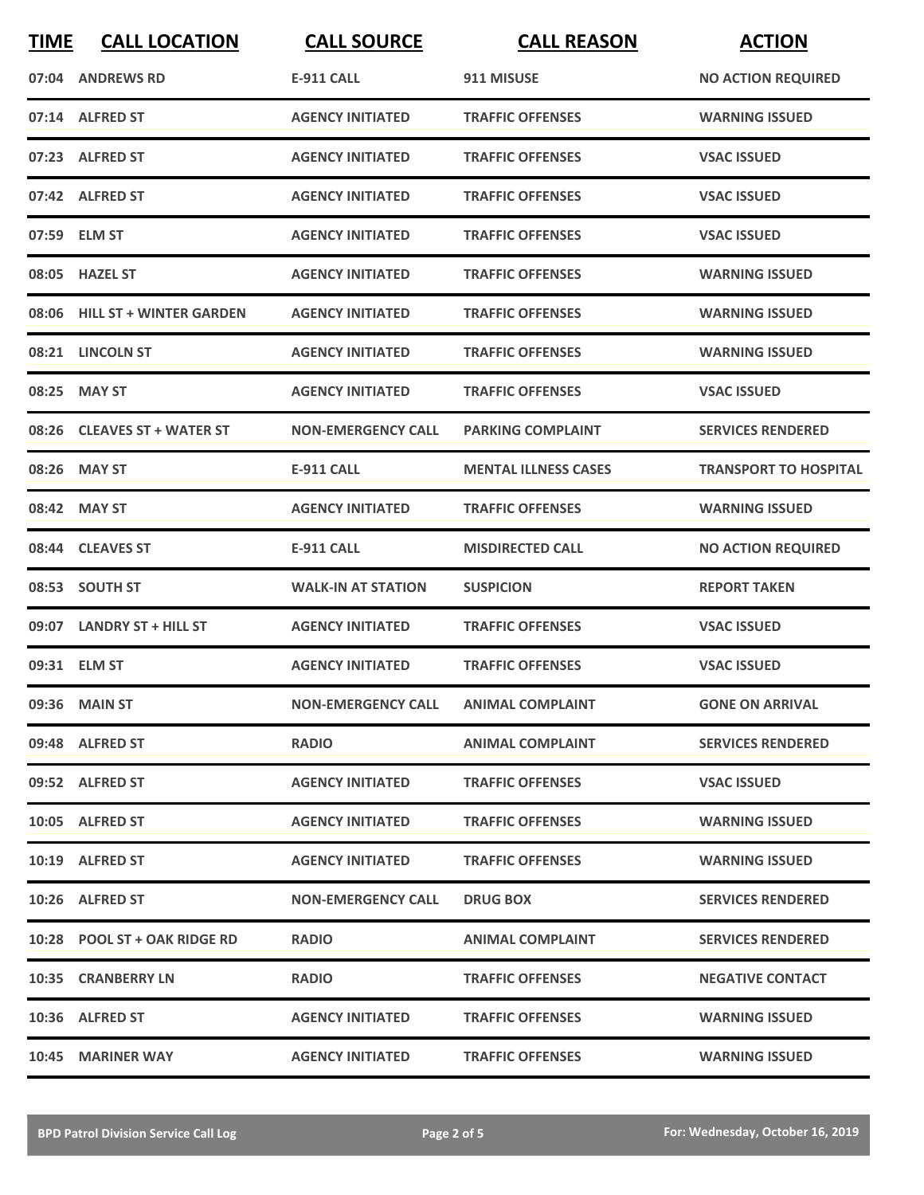| <b>TIME</b> | <b>CALL LOCATION</b>          | <b>CALL SOURCE</b>                  | <b>CALL REASON</b>          | <b>ACTION</b>                |
|-------------|-------------------------------|-------------------------------------|-----------------------------|------------------------------|
|             | 07:04 ANDREWS RD              | <b>E-911 CALL</b>                   | 911 MISUSE                  | <b>NO ACTION REQUIRED</b>    |
|             | 07:14 ALFRED ST               | <b>AGENCY INITIATED</b>             | <b>TRAFFIC OFFENSES</b>     | <b>WARNING ISSUED</b>        |
|             | 07:23 ALFRED ST               | <b>AGENCY INITIATED</b>             | <b>TRAFFIC OFFENSES</b>     | <b>VSAC ISSUED</b>           |
|             | 07:42 ALFRED ST               | <b>AGENCY INITIATED</b>             | <b>TRAFFIC OFFENSES</b>     | <b>VSAC ISSUED</b>           |
|             | 07:59 ELM ST                  | <b>AGENCY INITIATED</b>             | <b>TRAFFIC OFFENSES</b>     | <b>VSAC ISSUED</b>           |
|             | 08:05 HAZEL ST                | <b>AGENCY INITIATED</b>             | <b>TRAFFIC OFFENSES</b>     | <b>WARNING ISSUED</b>        |
|             | 08:06 HILL ST + WINTER GARDEN | <b>AGENCY INITIATED</b>             | <b>TRAFFIC OFFENSES</b>     | <b>WARNING ISSUED</b>        |
|             | 08:21 LINCOLN ST              | <b>AGENCY INITIATED</b>             | <b>TRAFFIC OFFENSES</b>     | <b>WARNING ISSUED</b>        |
| 08:25       | <b>MAY ST</b>                 | <b>AGENCY INITIATED</b>             | <b>TRAFFIC OFFENSES</b>     | <b>VSAC ISSUED</b>           |
|             | 08:26 CLEAVES ST + WATER ST   | <b>NON-EMERGENCY CALL</b>           | <b>PARKING COMPLAINT</b>    | <b>SERVICES RENDERED</b>     |
|             | 08:26 MAY ST                  | <b>E-911 CALL</b>                   | <b>MENTAL ILLNESS CASES</b> | <b>TRANSPORT TO HOSPITAL</b> |
|             | 08:42 MAY ST                  | <b>AGENCY INITIATED</b>             | <b>TRAFFIC OFFENSES</b>     | <b>WARNING ISSUED</b>        |
|             | 08:44 CLEAVES ST              | <b>E-911 CALL</b>                   | <b>MISDIRECTED CALL</b>     | <b>NO ACTION REQUIRED</b>    |
|             | 08:53 SOUTH ST                | <b>WALK-IN AT STATION</b>           | <b>SUSPICION</b>            | <b>REPORT TAKEN</b>          |
|             | 09:07 LANDRY ST + HILL ST     | <b>AGENCY INITIATED</b>             | <b>TRAFFIC OFFENSES</b>     | <b>VSAC ISSUED</b>           |
|             | 09:31 ELM ST                  | <b>AGENCY INITIATED</b>             | <b>TRAFFIC OFFENSES</b>     | <b>VSAC ISSUED</b>           |
|             | 09:36 MAIN ST                 | NON-EMERGENCY CALL ANIMAL COMPLAINT |                             | <b>GONE ON ARRIVAL</b>       |
|             | 09:48 ALFRED ST               | <b>RADIO</b>                        | <b>ANIMAL COMPLAINT</b>     | <b>SERVICES RENDERED</b>     |
|             | 09:52 ALFRED ST               | <b>AGENCY INITIATED</b>             | <b>TRAFFIC OFFENSES</b>     | <b>VSAC ISSUED</b>           |
|             | 10:05 ALFRED ST               | <b>AGENCY INITIATED</b>             | <b>TRAFFIC OFFENSES</b>     | <b>WARNING ISSUED</b>        |
|             | 10:19 ALFRED ST               | <b>AGENCY INITIATED</b>             | <b>TRAFFIC OFFENSES</b>     | <b>WARNING ISSUED</b>        |
|             | 10:26 ALFRED ST               | <b>NON-EMERGENCY CALL</b>           | <b>DRUG BOX</b>             | <b>SERVICES RENDERED</b>     |
|             | 10:28 POOL ST + OAK RIDGE RD  | <b>RADIO</b>                        | <b>ANIMAL COMPLAINT</b>     | <b>SERVICES RENDERED</b>     |
|             | 10:35 CRANBERRY LN            | <b>RADIO</b>                        | <b>TRAFFIC OFFENSES</b>     | <b>NEGATIVE CONTACT</b>      |
|             | 10:36 ALFRED ST               | <b>AGENCY INITIATED</b>             | <b>TRAFFIC OFFENSES</b>     | <b>WARNING ISSUED</b>        |
|             | 10:45 MARINER WAY             | <b>AGENCY INITIATED</b>             | <b>TRAFFIC OFFENSES</b>     | <b>WARNING ISSUED</b>        |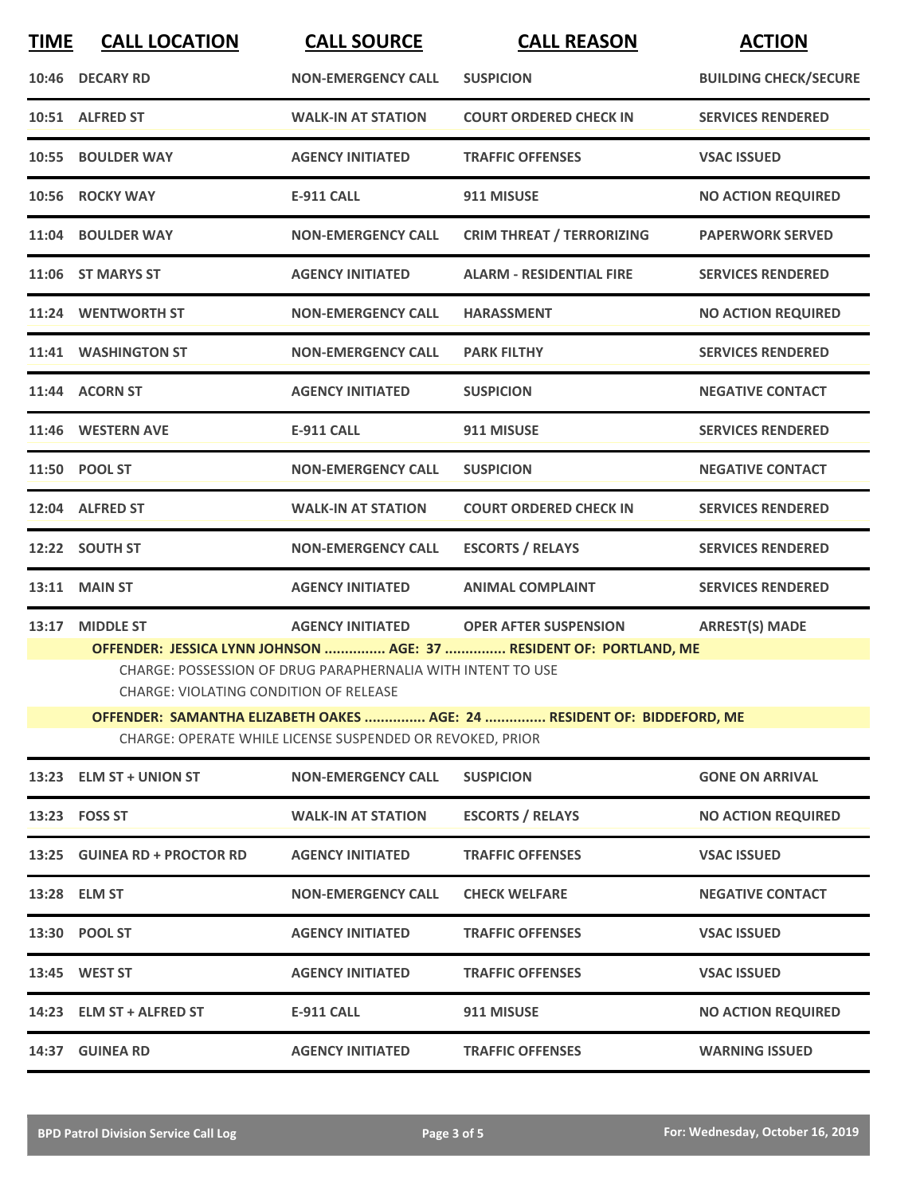| <b>TIME</b> | <b>CALL LOCATION</b>                                                                                                                                                               | <b>CALL SOURCE</b>        | <b>CALL REASON</b>               | <b>ACTION</b>                |  |
|-------------|------------------------------------------------------------------------------------------------------------------------------------------------------------------------------------|---------------------------|----------------------------------|------------------------------|--|
|             | 10:46 DECARY RD                                                                                                                                                                    | <b>NON-EMERGENCY CALL</b> | <b>SUSPICION</b>                 | <b>BUILDING CHECK/SECURE</b> |  |
|             | 10:51 ALFRED ST                                                                                                                                                                    | <b>WALK-IN AT STATION</b> | <b>COURT ORDERED CHECK IN</b>    | <b>SERVICES RENDERED</b>     |  |
|             | 10:55 BOULDER WAY                                                                                                                                                                  | <b>AGENCY INITIATED</b>   | <b>TRAFFIC OFFENSES</b>          | <b>VSAC ISSUED</b>           |  |
|             | 10:56 ROCKY WAY                                                                                                                                                                    | <b>E-911 CALL</b>         | 911 MISUSE                       | <b>NO ACTION REQUIRED</b>    |  |
|             | 11:04 BOULDER WAY                                                                                                                                                                  | <b>NON-EMERGENCY CALL</b> | <b>CRIM THREAT / TERRORIZING</b> | <b>PAPERWORK SERVED</b>      |  |
|             | 11:06 ST MARYS ST                                                                                                                                                                  | <b>AGENCY INITIATED</b>   | <b>ALARM - RESIDENTIAL FIRE</b>  | <b>SERVICES RENDERED</b>     |  |
|             | 11:24 WENTWORTH ST                                                                                                                                                                 | <b>NON-EMERGENCY CALL</b> | <b>HARASSMENT</b>                | <b>NO ACTION REQUIRED</b>    |  |
|             | 11:41 WASHINGTON ST                                                                                                                                                                | <b>NON-EMERGENCY CALL</b> | <b>PARK FILTHY</b>               | <b>SERVICES RENDERED</b>     |  |
|             | 11:44 ACORN ST                                                                                                                                                                     | <b>AGENCY INITIATED</b>   | <b>SUSPICION</b>                 | <b>NEGATIVE CONTACT</b>      |  |
|             | 11:46 WESTERN AVE                                                                                                                                                                  | <b>E-911 CALL</b>         | 911 MISUSE                       | <b>SERVICES RENDERED</b>     |  |
|             | 11:50 POOL ST                                                                                                                                                                      | <b>NON-EMERGENCY CALL</b> | <b>SUSPICION</b>                 | <b>NEGATIVE CONTACT</b>      |  |
|             | 12:04 ALFRED ST                                                                                                                                                                    | <b>WALK-IN AT STATION</b> | <b>COURT ORDERED CHECK IN</b>    | <b>SERVICES RENDERED</b>     |  |
|             | 12:22 SOUTH ST                                                                                                                                                                     | <b>NON-EMERGENCY CALL</b> | <b>ESCORTS / RELAYS</b>          | <b>SERVICES RENDERED</b>     |  |
| 13:11       | <b>MAIN ST</b>                                                                                                                                                                     | <b>AGENCY INITIATED</b>   | <b>ANIMAL COMPLAINT</b>          | <b>SERVICES RENDERED</b>     |  |
| 13:17       | <b>MIDDLE ST</b>                                                                                                                                                                   | <b>AGENCY INITIATED</b>   | <b>OPER AFTER SUSPENSION</b>     | <b>ARREST(S) MADE</b>        |  |
|             | OFFENDER: JESSICA LYNN JOHNSON  AGE: 37  RESIDENT OF: PORTLAND, ME<br>CHARGE: POSSESSION OF DRUG PARAPHERNALIA WITH INTENT TO USE<br><b>CHARGE: VIOLATING CONDITION OF RELEASE</b> |                           |                                  |                              |  |
|             | OFFENDER: SAMANTHA ELIZABETH OAKES  AGE: 24  RESIDENT OF: BIDDEFORD, ME<br>CHARGE: OPERATE WHILE LICENSE SUSPENDED OR REVOKED, PRIOR                                               |                           |                                  |                              |  |
|             | 13:23 ELM ST + UNION ST                                                                                                                                                            | <b>NON-EMERGENCY CALL</b> | <b>SUSPICION</b>                 | <b>GONE ON ARRIVAL</b>       |  |
|             | 13:23 FOSS ST                                                                                                                                                                      | <b>WALK-IN AT STATION</b> | <b>ESCORTS / RELAYS</b>          | <b>NO ACTION REQUIRED</b>    |  |
|             | 13:25 GUINEA RD + PROCTOR RD                                                                                                                                                       | <b>AGENCY INITIATED</b>   | <b>TRAFFIC OFFENSES</b>          | <b>VSAC ISSUED</b>           |  |
|             | 13:28 ELM ST                                                                                                                                                                       | <b>NON-EMERGENCY CALL</b> | <b>CHECK WELFARE</b>             | <b>NEGATIVE CONTACT</b>      |  |
|             | 13:30 POOL ST                                                                                                                                                                      | <b>AGENCY INITIATED</b>   | <b>TRAFFIC OFFENSES</b>          | <b>VSAC ISSUED</b>           |  |
|             | 13:45 WEST ST                                                                                                                                                                      | <b>AGENCY INITIATED</b>   | <b>TRAFFIC OFFENSES</b>          | <b>VSAC ISSUED</b>           |  |
|             | 14:23 ELM ST + ALFRED ST                                                                                                                                                           | <b>E-911 CALL</b>         | 911 MISUSE                       | <b>NO ACTION REQUIRED</b>    |  |
|             | 14:37 GUINEA RD                                                                                                                                                                    | <b>AGENCY INITIATED</b>   | <b>TRAFFIC OFFENSES</b>          | <b>WARNING ISSUED</b>        |  |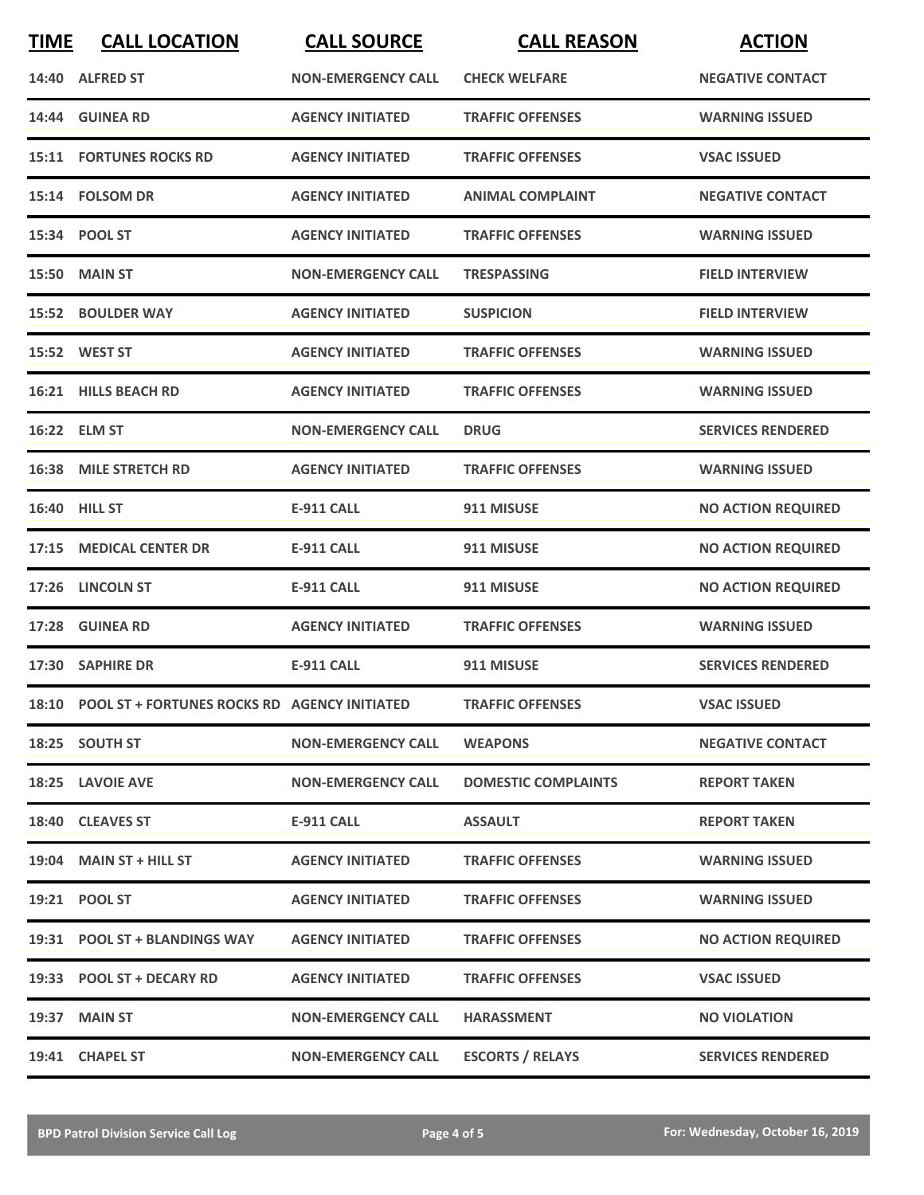| <b>TIME</b> | <b>CALL LOCATION</b>                               | <b>CALL SOURCE</b>        | <b>CALL REASON</b>         | <b>ACTION</b>             |
|-------------|----------------------------------------------------|---------------------------|----------------------------|---------------------------|
|             | 14:40 ALFRED ST                                    | <b>NON-EMERGENCY CALL</b> | <b>CHECK WELFARE</b>       | <b>NEGATIVE CONTACT</b>   |
|             | 14:44 GUINEA RD                                    | <b>AGENCY INITIATED</b>   | <b>TRAFFIC OFFENSES</b>    | <b>WARNING ISSUED</b>     |
|             | <b>15:11 FORTUNES ROCKS RD</b>                     | <b>AGENCY INITIATED</b>   | <b>TRAFFIC OFFENSES</b>    | <b>VSAC ISSUED</b>        |
|             | 15:14 FOLSOM DR                                    | <b>AGENCY INITIATED</b>   | <b>ANIMAL COMPLAINT</b>    | <b>NEGATIVE CONTACT</b>   |
|             | 15:34 POOL ST                                      | <b>AGENCY INITIATED</b>   | <b>TRAFFIC OFFENSES</b>    | <b>WARNING ISSUED</b>     |
|             | <b>15:50 MAIN ST</b>                               | <b>NON-EMERGENCY CALL</b> | <b>TRESPASSING</b>         | <b>FIELD INTERVIEW</b>    |
|             | 15:52 BOULDER WAY                                  | <b>AGENCY INITIATED</b>   | <b>SUSPICION</b>           | <b>FIELD INTERVIEW</b>    |
|             | 15:52 WEST ST                                      | <b>AGENCY INITIATED</b>   | <b>TRAFFIC OFFENSES</b>    | <b>WARNING ISSUED</b>     |
|             | 16:21 HILLS BEACH RD                               | <b>AGENCY INITIATED</b>   | <b>TRAFFIC OFFENSES</b>    | <b>WARNING ISSUED</b>     |
|             | 16:22 ELM ST                                       | <b>NON-EMERGENCY CALL</b> | <b>DRUG</b>                | <b>SERVICES RENDERED</b>  |
|             | <b>16:38 MILE STRETCH RD</b>                       | <b>AGENCY INITIATED</b>   | <b>TRAFFIC OFFENSES</b>    | <b>WARNING ISSUED</b>     |
|             | 16:40 HILL ST                                      | <b>E-911 CALL</b>         | 911 MISUSE                 | <b>NO ACTION REQUIRED</b> |
| 17:15       | <b>MEDICAL CENTER DR</b>                           | <b>E-911 CALL</b>         | 911 MISUSE                 | <b>NO ACTION REQUIRED</b> |
| 17:26       | <b>LINCOLN ST</b>                                  | <b>E-911 CALL</b>         | 911 MISUSE                 | <b>NO ACTION REQUIRED</b> |
| 17:28       | <b>GUINEA RD</b>                                   | <b>AGENCY INITIATED</b>   | <b>TRAFFIC OFFENSES</b>    | <b>WARNING ISSUED</b>     |
|             | 17:30 SAPHIRE DR                                   | <b>E-911 CALL</b>         | 911 MISUSE                 | <b>SERVICES RENDERED</b>  |
|             | 18:10 POOL ST + FORTUNES ROCKS RD AGENCY INITIATED |                           | <b>TRAFFIC OFFENSES</b>    | <b>VSAC ISSUED</b>        |
|             | 18:25 SOUTH ST                                     | <b>NON-EMERGENCY CALL</b> | <b>WEAPONS</b>             | <b>NEGATIVE CONTACT</b>   |
|             | 18:25 LAVOIE AVE                                   | <b>NON-EMERGENCY CALL</b> | <b>DOMESTIC COMPLAINTS</b> | <b>REPORT TAKEN</b>       |
|             | 18:40 CLEAVES ST                                   | <b>E-911 CALL</b>         | <b>ASSAULT</b>             | <b>REPORT TAKEN</b>       |
|             | $19:04$ MAIN ST + HILL ST                          | <b>AGENCY INITIATED</b>   | <b>TRAFFIC OFFENSES</b>    | <b>WARNING ISSUED</b>     |
|             | 19:21 POOL ST                                      | <b>AGENCY INITIATED</b>   | <b>TRAFFIC OFFENSES</b>    | <b>WARNING ISSUED</b>     |
|             | 19:31 POOL ST + BLANDINGS WAY                      | <b>AGENCY INITIATED</b>   | <b>TRAFFIC OFFENSES</b>    | <b>NO ACTION REQUIRED</b> |
|             | 19:33 POOL ST + DECARY RD                          | <b>AGENCY INITIATED</b>   | <b>TRAFFIC OFFENSES</b>    | <b>VSAC ISSUED</b>        |
|             | 19:37 MAIN ST                                      | <b>NON-EMERGENCY CALL</b> | <b>HARASSMENT</b>          | <b>NO VIOLATION</b>       |
|             | 19:41 CHAPEL ST                                    | <b>NON-EMERGENCY CALL</b> | <b>ESCORTS / RELAYS</b>    | <b>SERVICES RENDERED</b>  |